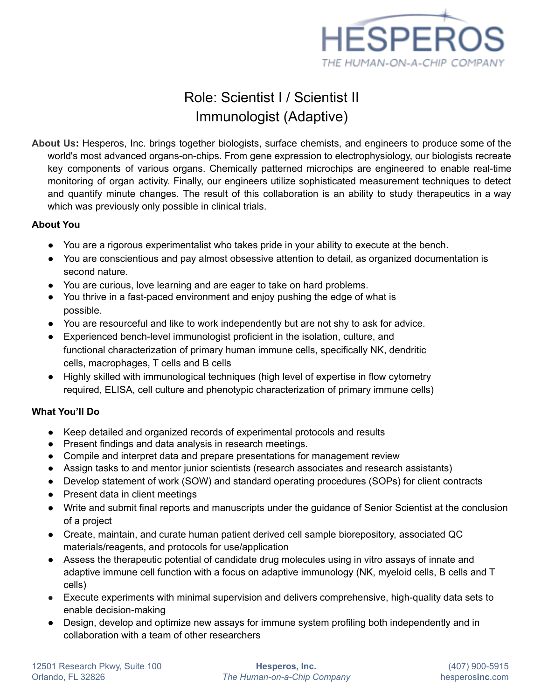

# Role: Scientist I / Scientist II Immunologist (Adaptive)

**About Us:** Hesperos, Inc. brings together biologists, surface chemists, and engineers to produce some of the world's most advanced organs-on-chips. From gene expression to electrophysiology, our biologists recreate key components of various organs. Chemically patterned microchips are engineered to enable real-time monitoring of organ activity. Finally, our engineers utilize sophisticated measurement techniques to detect and quantify minute changes. The result of this collaboration is an ability to study therapeutics in a way which was previously only possible in clinical trials.

## **About You**

- You are a rigorous experimentalist who takes pride in your ability to execute at the bench.
- You are conscientious and pay almost obsessive attention to detail, as organized documentation is second nature.
- You are curious, love learning and are eager to take on hard problems.
- You thrive in a fast-paced environment and enjoy pushing the edge of what is possible.
- You are resourceful and like to work independently but are not shy to ask for advice.
- Experienced bench-level immunologist proficient in the isolation, culture, and functional characterization of primary human immune cells, specifically NK, dendritic cells, macrophages, T cells and B cells
- Highly skilled with immunological techniques (high level of expertise in flow cytometry required, ELISA, cell culture and phenotypic characterization of primary immune cells)

## **What You'll Do**

- Keep detailed and organized records of experimental protocols and results
- Present findings and data analysis in research meetings.
- Compile and interpret data and prepare presentations for management review
- Assign tasks to and mentor junior scientists (research associates and research assistants)
- Develop statement of work (SOW) and standard operating procedures (SOPs) for client contracts
- Present data in client meetings
- Write and submit final reports and manuscripts under the guidance of Senior Scientist at the conclusion of a project
- Create, maintain, and curate human patient derived cell sample biorepository, associated QC materials/reagents, and protocols for use/application
- Assess the therapeutic potential of candidate drug molecules using in vitro assays of innate and adaptive immune cell function with a focus on adaptive immunology (NK, myeloid cells, B cells and T cells)
- Execute experiments with minimal supervision and delivers comprehensive, high-quality data sets to enable decision-making
- Design, develop and optimize new assays for immune system profiling both independently and in collaboration with a team of other researchers